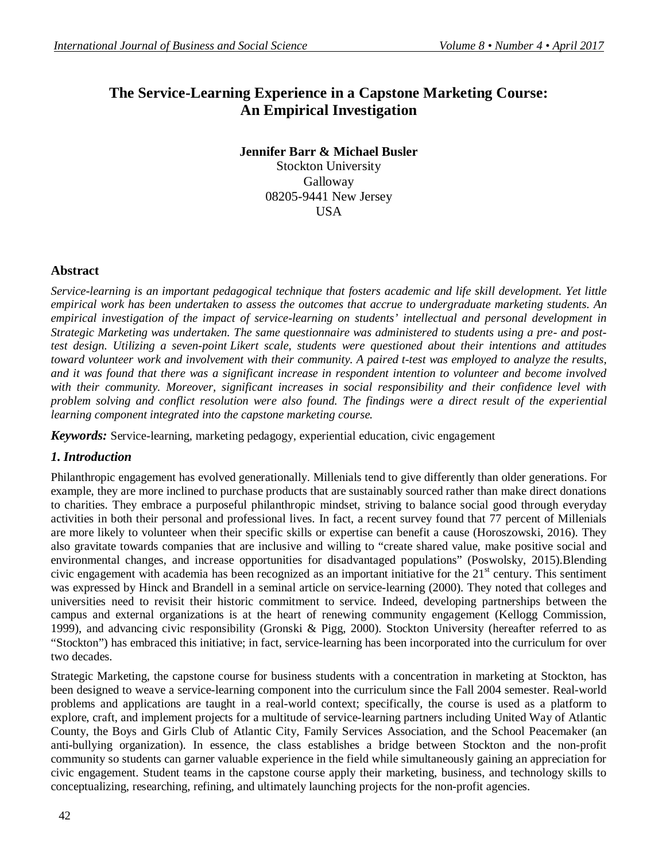# **The Service-Learning Experience in a Capstone Marketing Course: An Empirical Investigation**

### **Jennifer Barr & Michael Busler**

Stockton University Galloway 08205-9441 New Jersey USA

### **Abstract**

*Service-learning is an important pedagogical technique that fosters academic and life skill development. Yet little empirical work has been undertaken to assess the outcomes that accrue to undergraduate marketing students. An empirical investigation of the impact of service-learning on students' intellectual and personal development in Strategic Marketing was undertaken. The same questionnaire was administered to students using a pre- and posttest design. Utilizing a seven-point Likert scale, students were questioned about their intentions and attitudes toward volunteer work and involvement with their community. A paired t-test was employed to analyze the results, and it was found that there was a significant increase in respondent intention to volunteer and become involved with their community. Moreover, significant increases in social responsibility and their confidence level with problem solving and conflict resolution were also found. The findings were a direct result of the experiential learning component integrated into the capstone marketing course.*

*Keywords:* Service-learning, marketing pedagogy, experiential education, civic engagement

## *1. Introduction*

Philanthropic engagement has evolved generationally. Millenials tend to give differently than older generations. For example, they are more inclined to purchase products that are sustainably sourced rather than make direct donations to charities. They embrace a purposeful philanthropic mindset, striving to balance social good through everyday activities in both their personal and professional lives. In fact, a recent survey found that 77 percent of Millenials are more likely to volunteer when their specific skills or expertise can benefit a cause (Horoszowski, 2016). They also gravitate towards companies that are inclusive and willing to "create shared value, make positive social and environmental changes, and increase opportunities for disadvantaged populations" (Poswolsky, 2015).Blending civic engagement with academia has been recognized as an important initiative for the  $21<sup>st</sup>$  century. This sentiment was expressed by Hinck and Brandell in a seminal article on service-learning (2000). They noted that colleges and universities need to revisit their historic commitment to service. Indeed, developing partnerships between the campus and external organizations is at the heart of renewing community engagement (Kellogg Commission, 1999), and advancing civic responsibility (Gronski & Pigg, 2000). Stockton University (hereafter referred to as "Stockton") has embraced this initiative; in fact, service-learning has been incorporated into the curriculum for over two decades.

Strategic Marketing, the capstone course for business students with a concentration in marketing at Stockton, has been designed to weave a service-learning component into the curriculum since the Fall 2004 semester. Real-world problems and applications are taught in a real-world context; specifically, the course is used as a platform to explore, craft, and implement projects for a multitude of service-learning partners including United Way of Atlantic County, the Boys and Girls Club of Atlantic City, Family Services Association, and the School Peacemaker (an anti-bullying organization). In essence, the class establishes a bridge between Stockton and the non-profit community so students can garner valuable experience in the field while simultaneously gaining an appreciation for civic engagement. Student teams in the capstone course apply their marketing, business, and technology skills to conceptualizing, researching, refining, and ultimately launching projects for the non-profit agencies.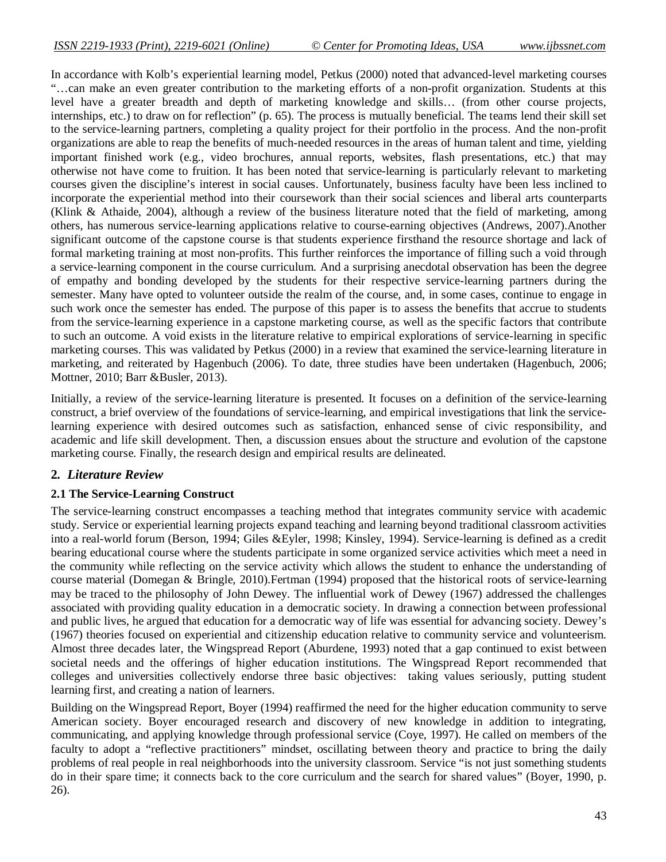In accordance with Kolb's experiential learning model, Petkus (2000) noted that advanced-level marketing courses "…can make an even greater contribution to the marketing efforts of a non-profit organization. Students at this level have a greater breadth and depth of marketing knowledge and skills… (from other course projects, internships, etc.) to draw on for reflection" (p. 65). The process is mutually beneficial. The teams lend their skill set to the service-learning partners, completing a quality project for their portfolio in the process. And the non-profit organizations are able to reap the benefits of much-needed resources in the areas of human talent and time, yielding important finished work (e.g., video brochures, annual reports, websites, flash presentations, etc.) that may otherwise not have come to fruition. It has been noted that service-learning is particularly relevant to marketing courses given the discipline's interest in social causes. Unfortunately, business faculty have been less inclined to incorporate the experiential method into their coursework than their social sciences and liberal arts counterparts (Klink & Athaide, 2004), although a review of the business literature noted that the field of marketing, among others, has numerous service-learning applications relative to course-earning objectives (Andrews, 2007).Another significant outcome of the capstone course is that students experience firsthand the resource shortage and lack of formal marketing training at most non-profits. This further reinforces the importance of filling such a void through a service-learning component in the course curriculum. And a surprising anecdotal observation has been the degree of empathy and bonding developed by the students for their respective service-learning partners during the semester. Many have opted to volunteer outside the realm of the course, and, in some cases, continue to engage in such work once the semester has ended. The purpose of this paper is to assess the benefits that accrue to students from the service-learning experience in a capstone marketing course, as well as the specific factors that contribute to such an outcome. A void exists in the literature relative to empirical explorations of service-learning in specific marketing courses. This was validated by Petkus (2000) in a review that examined the service-learning literature in marketing, and reiterated by Hagenbuch (2006). To date, three studies have been undertaken (Hagenbuch, 2006; Mottner, 2010; Barr &Busler, 2013).

Initially, a review of the service-learning literature is presented. It focuses on a definition of the service-learning construct, a brief overview of the foundations of service-learning, and empirical investigations that link the servicelearning experience with desired outcomes such as satisfaction, enhanced sense of civic responsibility, and academic and life skill development. Then, a discussion ensues about the structure and evolution of the capstone marketing course. Finally, the research design and empirical results are delineated.

#### **2***. Literature Review*

#### **2.1 The Service-Learning Construct**

The service-learning construct encompasses a teaching method that integrates community service with academic study. Service or experiential learning projects expand teaching and learning beyond traditional classroom activities into a real-world forum (Berson, 1994; Giles &Eyler, 1998; Kinsley, 1994). Service-learning is defined as a credit bearing educational course where the students participate in some organized service activities which meet a need in the community while reflecting on the service activity which allows the student to enhance the understanding of course material (Domegan & Bringle, 2010).Fertman (1994) proposed that the historical roots of service-learning may be traced to the philosophy of John Dewey. The influential work of Dewey (1967) addressed the challenges associated with providing quality education in a democratic society. In drawing a connection between professional and public lives, he argued that education for a democratic way of life was essential for advancing society. Dewey's (1967) theories focused on experiential and citizenship education relative to community service and volunteerism. Almost three decades later, the Wingspread Report (Aburdene, 1993) noted that a gap continued to exist between societal needs and the offerings of higher education institutions. The Wingspread Report recommended that colleges and universities collectively endorse three basic objectives: taking values seriously, putting student learning first, and creating a nation of learners.

Building on the Wingspread Report, Boyer (1994) reaffirmed the need for the higher education community to serve American society. Boyer encouraged research and discovery of new knowledge in addition to integrating, communicating, and applying knowledge through professional service (Coye, 1997). He called on members of the faculty to adopt a "reflective practitioners" mindset, oscillating between theory and practice to bring the daily problems of real people in real neighborhoods into the university classroom. Service "is not just something students do in their spare time; it connects back to the core curriculum and the search for shared values" (Boyer, 1990, p. 26).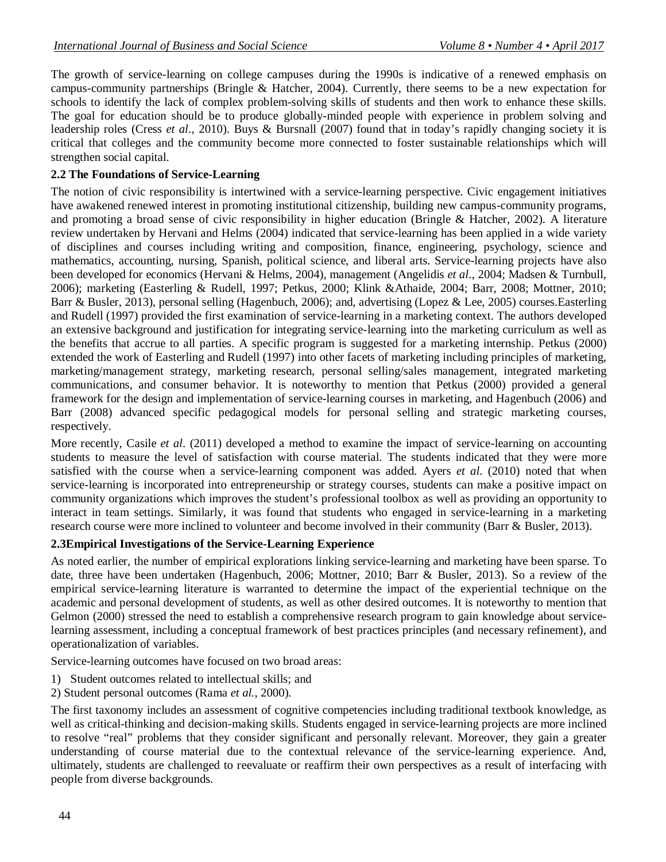The growth of service-learning on college campuses during the 1990s is indicative of a renewed emphasis on campus-community partnerships (Bringle & Hatcher, 2004). Currently, there seems to be a new expectation for schools to identify the lack of complex problem-solving skills of students and then work to enhance these skills. The goal for education should be to produce globally-minded people with experience in problem solving and leadership roles (Cress *et al*., 2010). Buys & Bursnall (2007) found that in today's rapidly changing society it is critical that colleges and the community become more connected to foster sustainable relationships which will strengthen social capital.

#### **2.2 The Foundations of Service-Learning**

The notion of civic responsibility is intertwined with a service-learning perspective. Civic engagement initiatives have awakened renewed interest in promoting institutional citizenship, building new campus-community programs, and promoting a broad sense of civic responsibility in higher education (Bringle & Hatcher, 2002). A literature review undertaken by Hervani and Helms (2004) indicated that service-learning has been applied in a wide variety of disciplines and courses including writing and composition, finance, engineering, psychology, science and mathematics, accounting, nursing, Spanish, political science, and liberal arts. Service-learning projects have also been developed for economics (Hervani & Helms, 2004), management (Angelidis *et al*., 2004; Madsen & Turnbull, 2006); marketing (Easterling & Rudell, 1997; Petkus, 2000; Klink &Athaide, 2004; Barr, 2008; Mottner, 2010; Barr & Busler, 2013), personal selling (Hagenbuch, 2006); and, advertising (Lopez & Lee, 2005) courses.Easterling and Rudell (1997) provided the first examination of service-learning in a marketing context. The authors developed an extensive background and justification for integrating service-learning into the marketing curriculum as well as the benefits that accrue to all parties. A specific program is suggested for a marketing internship. Petkus (2000) extended the work of Easterling and Rudell (1997) into other facets of marketing including principles of marketing, marketing/management strategy, marketing research, personal selling/sales management, integrated marketing communications, and consumer behavior. It is noteworthy to mention that Petkus (2000) provided a general framework for the design and implementation of service-learning courses in marketing, and Hagenbuch (2006) and Barr (2008) advanced specific pedagogical models for personal selling and strategic marketing courses, respectively.

More recently, Casile *et al*. (2011) developed a method to examine the impact of service-learning on accounting students to measure the level of satisfaction with course material. The students indicated that they were more satisfied with the course when a service-learning component was added. Ayers *et al*. (2010) noted that when service-learning is incorporated into entrepreneurship or strategy courses, students can make a positive impact on community organizations which improves the student's professional toolbox as well as providing an opportunity to interact in team settings. Similarly, it was found that students who engaged in service-learning in a marketing research course were more inclined to volunteer and become involved in their community (Barr & Busler, 2013).

#### **2.3Empirical Investigations of the Service-Learning Experience**

As noted earlier, the number of empirical explorations linking service-learning and marketing have been sparse. To date, three have been undertaken (Hagenbuch, 2006; Mottner, 2010; Barr & Busler, 2013). So a review of the empirical service-learning literature is warranted to determine the impact of the experiential technique on the academic and personal development of students, as well as other desired outcomes. It is noteworthy to mention that Gelmon (2000) stressed the need to establish a comprehensive research program to gain knowledge about servicelearning assessment, including a conceptual framework of best practices principles (and necessary refinement), and operationalization of variables.

Service-learning outcomes have focused on two broad areas:

- 1) Student outcomes related to intellectual skills; and
- 2) Student personal outcomes (Rama *et al.*, 2000).

The first taxonomy includes an assessment of cognitive competencies including traditional textbook knowledge, as well as critical-thinking and decision-making skills. Students engaged in service-learning projects are more inclined to resolve "real" problems that they consider significant and personally relevant. Moreover, they gain a greater understanding of course material due to the contextual relevance of the service-learning experience. And, ultimately, students are challenged to reevaluate or reaffirm their own perspectives as a result of interfacing with people from diverse backgrounds.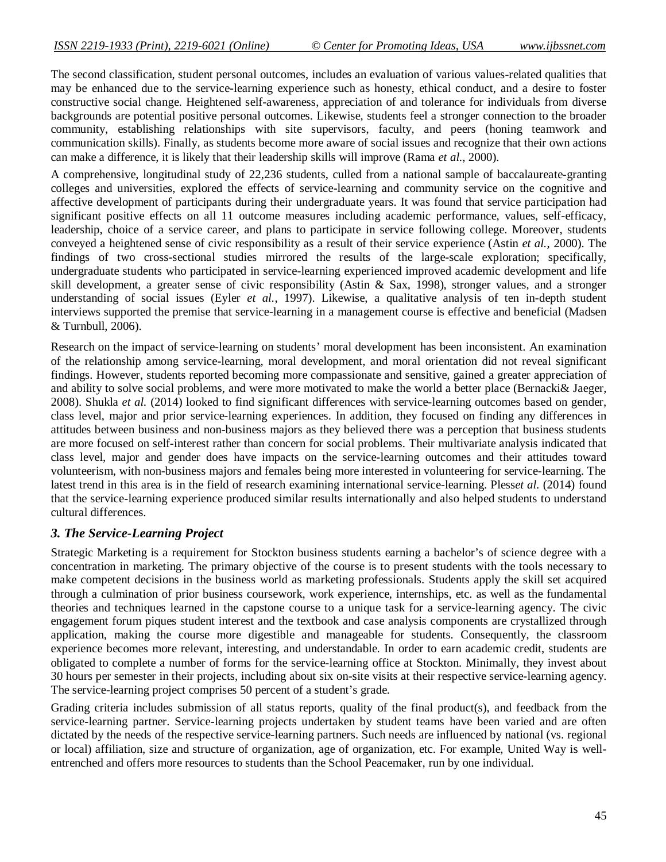The second classification, student personal outcomes, includes an evaluation of various values-related qualities that may be enhanced due to the service-learning experience such as honesty, ethical conduct, and a desire to foster constructive social change. Heightened self-awareness, appreciation of and tolerance for individuals from diverse backgrounds are potential positive personal outcomes. Likewise, students feel a stronger connection to the broader community, establishing relationships with site supervisors, faculty, and peers (honing teamwork and communication skills). Finally, as students become more aware of social issues and recognize that their own actions can make a difference, it is likely that their leadership skills will improve (Rama *et al.*, 2000).

A comprehensive, longitudinal study of 22,236 students, culled from a national sample of baccalaureate-granting colleges and universities, explored the effects of service-learning and community service on the cognitive and affective development of participants during their undergraduate years. It was found that service participation had significant positive effects on all 11 outcome measures including academic performance, values, self-efficacy, leadership, choice of a service career, and plans to participate in service following college. Moreover, students conveyed a heightened sense of civic responsibility as a result of their service experience (Astin *et al.*, 2000). The findings of two cross-sectional studies mirrored the results of the large-scale exploration; specifically, undergraduate students who participated in service-learning experienced improved academic development and life skill development, a greater sense of civic responsibility (Astin & Sax, 1998), stronger values, and a stronger understanding of social issues (Eyler *et al.*, 1997). Likewise, a qualitative analysis of ten in-depth student interviews supported the premise that service-learning in a management course is effective and beneficial (Madsen & Turnbull, 2006).

Research on the impact of service-learning on students' moral development has been inconsistent. An examination of the relationship among service-learning, moral development, and moral orientation did not reveal significant findings. However, students reported becoming more compassionate and sensitive, gained a greater appreciation of and ability to solve social problems, and were more motivated to make the world a better place (Bernacki& Jaeger, 2008). Shukla *et al.* (2014) looked to find significant differences with service-learning outcomes based on gender, class level, major and prior service-learning experiences. In addition, they focused on finding any differences in attitudes between business and non-business majors as they believed there was a perception that business students are more focused on self-interest rather than concern for social problems. Their multivariate analysis indicated that class level, major and gender does have impacts on the service-learning outcomes and their attitudes toward volunteerism, with non-business majors and females being more interested in volunteering for service-learning. The latest trend in this area is in the field of research examining international service-learning. Pless*et al.* (2014) found that the service-learning experience produced similar results internationally and also helped students to understand cultural differences.

#### *3. The Service-Learning Project*

Strategic Marketing is a requirement for Stockton business students earning a bachelor's of science degree with a concentration in marketing. The primary objective of the course is to present students with the tools necessary to make competent decisions in the business world as marketing professionals. Students apply the skill set acquired through a culmination of prior business coursework, work experience, internships, etc. as well as the fundamental theories and techniques learned in the capstone course to a unique task for a service-learning agency. The civic engagement forum piques student interest and the textbook and case analysis components are crystallized through application, making the course more digestible and manageable for students. Consequently, the classroom experience becomes more relevant, interesting, and understandable. In order to earn academic credit, students are obligated to complete a number of forms for the service-learning office at Stockton. Minimally, they invest about 30 hours per semester in their projects, including about six on-site visits at their respective service-learning agency. The service-learning project comprises 50 percent of a student's grade.

Grading criteria includes submission of all status reports, quality of the final product(s), and feedback from the service-learning partner. Service-learning projects undertaken by student teams have been varied and are often dictated by the needs of the respective service-learning partners. Such needs are influenced by national (vs. regional or local) affiliation, size and structure of organization, age of organization, etc. For example, United Way is wellentrenched and offers more resources to students than the School Peacemaker, run by one individual.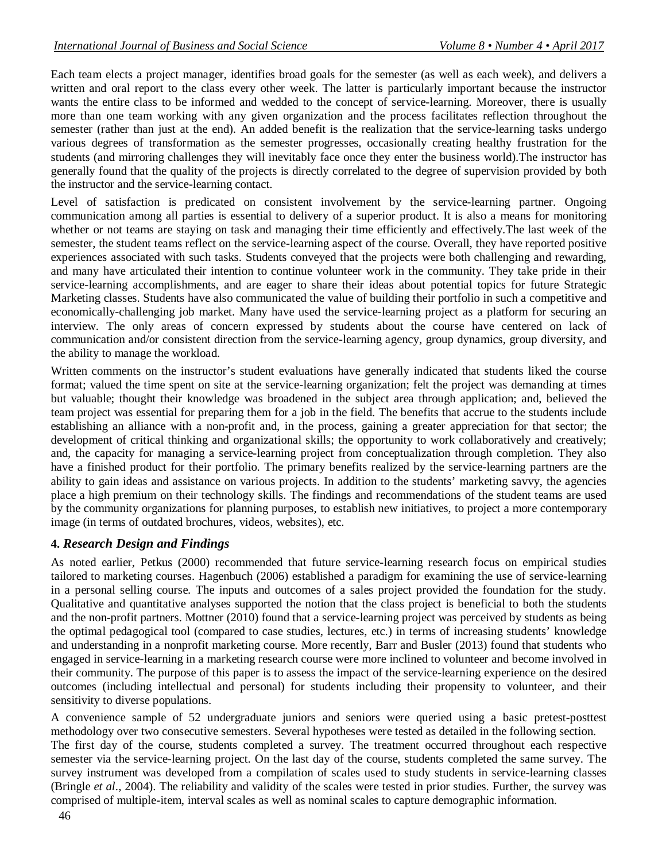Each team elects a project manager, identifies broad goals for the semester (as well as each week), and delivers a written and oral report to the class every other week. The latter is particularly important because the instructor wants the entire class to be informed and wedded to the concept of service-learning. Moreover, there is usually more than one team working with any given organization and the process facilitates reflection throughout the semester (rather than just at the end). An added benefit is the realization that the service-learning tasks undergo various degrees of transformation as the semester progresses, occasionally creating healthy frustration for the students (and mirroring challenges they will inevitably face once they enter the business world).The instructor has generally found that the quality of the projects is directly correlated to the degree of supervision provided by both the instructor and the service-learning contact.

Level of satisfaction is predicated on consistent involvement by the service-learning partner. Ongoing communication among all parties is essential to delivery of a superior product. It is also a means for monitoring whether or not teams are staying on task and managing their time efficiently and effectively.The last week of the semester, the student teams reflect on the service-learning aspect of the course. Overall, they have reported positive experiences associated with such tasks. Students conveyed that the projects were both challenging and rewarding, and many have articulated their intention to continue volunteer work in the community. They take pride in their service-learning accomplishments, and are eager to share their ideas about potential topics for future Strategic Marketing classes. Students have also communicated the value of building their portfolio in such a competitive and economically-challenging job market. Many have used the service-learning project as a platform for securing an interview. The only areas of concern expressed by students about the course have centered on lack of communication and/or consistent direction from the service-learning agency, group dynamics, group diversity, and the ability to manage the workload.

Written comments on the instructor's student evaluations have generally indicated that students liked the course format; valued the time spent on site at the service-learning organization; felt the project was demanding at times but valuable; thought their knowledge was broadened in the subject area through application; and, believed the team project was essential for preparing them for a job in the field. The benefits that accrue to the students include establishing an alliance with a non-profit and, in the process, gaining a greater appreciation for that sector; the development of critical thinking and organizational skills; the opportunity to work collaboratively and creatively; and, the capacity for managing a service-learning project from conceptualization through completion. They also have a finished product for their portfolio. The primary benefits realized by the service-learning partners are the ability to gain ideas and assistance on various projects. In addition to the students' marketing savvy, the agencies place a high premium on their technology skills. The findings and recommendations of the student teams are used by the community organizations for planning purposes, to establish new initiatives, to project a more contemporary image (in terms of outdated brochures, videos, websites), etc.

#### **4.** *Research Design and Findings*

As noted earlier, Petkus (2000) recommended that future service-learning research focus on empirical studies tailored to marketing courses. Hagenbuch (2006) established a paradigm for examining the use of service-learning in a personal selling course. The inputs and outcomes of a sales project provided the foundation for the study. Qualitative and quantitative analyses supported the notion that the class project is beneficial to both the students and the non-profit partners. Mottner (2010) found that a service-learning project was perceived by students as being the optimal pedagogical tool (compared to case studies, lectures, etc.) in terms of increasing students' knowledge and understanding in a nonprofit marketing course. More recently, Barr and Busler (2013) found that students who engaged in service-learning in a marketing research course were more inclined to volunteer and become involved in their community. The purpose of this paper is to assess the impact of the service-learning experience on the desired outcomes (including intellectual and personal) for students including their propensity to volunteer, and their sensitivity to diverse populations.

A convenience sample of 52 undergraduate juniors and seniors were queried using a basic pretest-posttest methodology over two consecutive semesters. Several hypotheses were tested as detailed in the following section. The first day of the course, students completed a survey. The treatment occurred throughout each respective semester via the service-learning project. On the last day of the course, students completed the same survey. The survey instrument was developed from a compilation of scales used to study students in service-learning classes (Bringle *et al*., 2004). The reliability and validity of the scales were tested in prior studies. Further, the survey was comprised of multiple-item, interval scales as well as nominal scales to capture demographic information.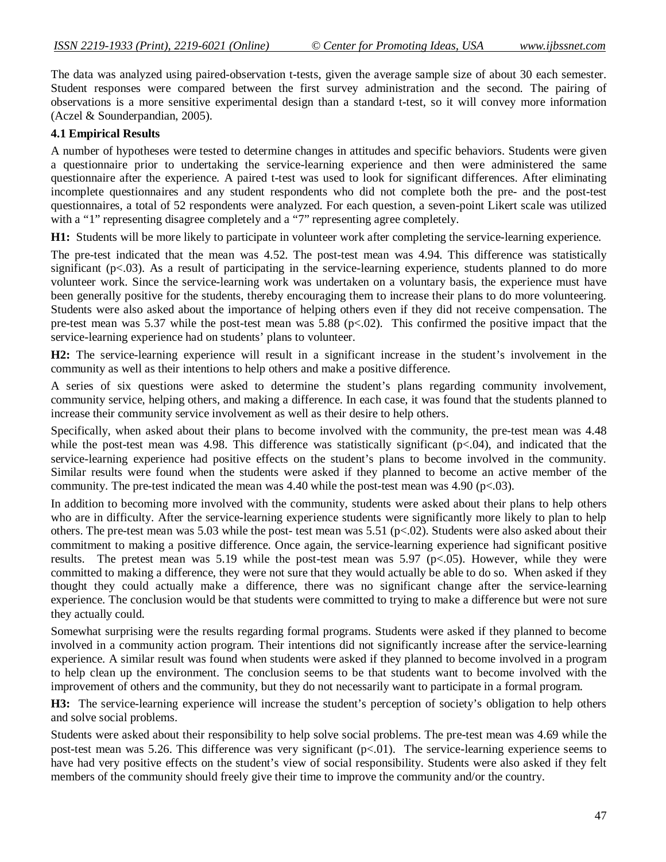The data was analyzed using paired-observation t-tests, given the average sample size of about 30 each semester. Student responses were compared between the first survey administration and the second. The pairing of observations is a more sensitive experimental design than a standard t-test, so it will convey more information (Aczel & Sounderpandian, 2005).

#### **4.1 Empirical Results**

A number of hypotheses were tested to determine changes in attitudes and specific behaviors. Students were given a questionnaire prior to undertaking the service-learning experience and then were administered the same questionnaire after the experience. A paired t-test was used to look for significant differences. After eliminating incomplete questionnaires and any student respondents who did not complete both the pre- and the post-test questionnaires, a total of 52 respondents were analyzed. For each question, a seven-point Likert scale was utilized with a "1" representing disagree completely and a "7" representing agree completely.

**H1:** Students will be more likely to participate in volunteer work after completing the service-learning experience.

The pre-test indicated that the mean was 4.52. The post-test mean was 4.94. This difference was statistically significant  $(p<.03)$ . As a result of participating in the service-learning experience, students planned to do more volunteer work. Since the service-learning work was undertaken on a voluntary basis, the experience must have been generally positive for the students, thereby encouraging them to increase their plans to do more volunteering. Students were also asked about the importance of helping others even if they did not receive compensation. The pre-test mean was 5.37 while the post-test mean was 5.88 (p<.02). This confirmed the positive impact that the service-learning experience had on students' plans to volunteer.

**H2:** The service-learning experience will result in a significant increase in the student's involvement in the community as well as their intentions to help others and make a positive difference.

A series of six questions were asked to determine the student's plans regarding community involvement, community service, helping others, and making a difference. In each case, it was found that the students planned to increase their community service involvement as well as their desire to help others.

Specifically, when asked about their plans to become involved with the community, the pre-test mean was 4.48 while the post-test mean was 4.98. This difference was statistically significant ( $p<04$ ), and indicated that the service-learning experience had positive effects on the student's plans to become involved in the community. Similar results were found when the students were asked if they planned to become an active member of the community. The pre-test indicated the mean was  $4.40$  while the post-test mean was  $4.90$  (p<.03).

In addition to becoming more involved with the community, students were asked about their plans to help others who are in difficulty. After the service-learning experience students were significantly more likely to plan to help others. The pre-test mean was 5.03 while the post- test mean was 5.51 ( $p<0$ ). Students were also asked about their commitment to making a positive difference. Once again, the service-learning experience had significant positive results. The pretest mean was 5.19 while the post-test mean was 5.97 ( $p<0.05$ ). However, while they were committed to making a difference, they were not sure that they would actually be able to do so. When asked if they thought they could actually make a difference, there was no significant change after the service-learning experience. The conclusion would be that students were committed to trying to make a difference but were not sure they actually could.

Somewhat surprising were the results regarding formal programs. Students were asked if they planned to become involved in a community action program. Their intentions did not significantly increase after the service-learning experience. A similar result was found when students were asked if they planned to become involved in a program to help clean up the environment. The conclusion seems to be that students want to become involved with the improvement of others and the community, but they do not necessarily want to participate in a formal program.

**H3:** The service-learning experience will increase the student's perception of society's obligation to help others and solve social problems.

Students were asked about their responsibility to help solve social problems. The pre-test mean was 4.69 while the post-test mean was 5.26. This difference was very significant (p<.01). The service-learning experience seems to have had very positive effects on the student's view of social responsibility. Students were also asked if they felt members of the community should freely give their time to improve the community and/or the country.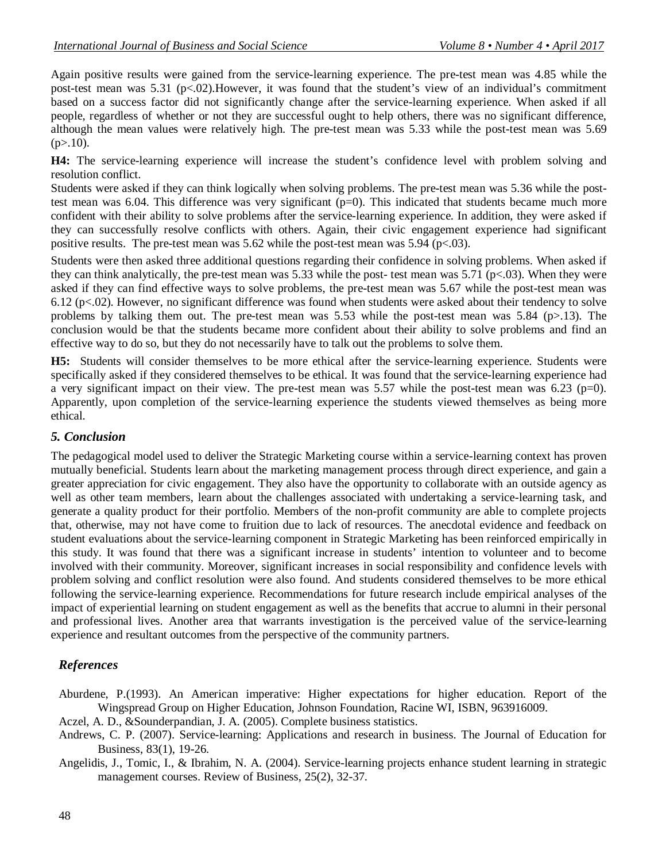Again positive results were gained from the service-learning experience. The pre-test mean was 4.85 while the post-test mean was 5.31 (p<.02).However, it was found that the student's view of an individual's commitment based on a success factor did not significantly change after the service-learning experience. When asked if all people, regardless of whether or not they are successful ought to help others, there was no significant difference, although the mean values were relatively high. The pre-test mean was 5.33 while the post-test mean was 5.69  $(p>10)$ .

**H4:** The service-learning experience will increase the student's confidence level with problem solving and resolution conflict.

Students were asked if they can think logically when solving problems. The pre-test mean was 5.36 while the posttest mean was 6.04. This difference was very significant (p=0). This indicated that students became much more confident with their ability to solve problems after the service-learning experience. In addition, they were asked if they can successfully resolve conflicts with others. Again, their civic engagement experience had significant positive results. The pre-test mean was  $5.62$  while the post-test mean was  $5.94$  (p $< .03$ ).

Students were then asked three additional questions regarding their confidence in solving problems. When asked if they can think analytically, the pre-test mean was 5.33 while the post- test mean was 5.71 (p<.03). When they were asked if they can find effective ways to solve problems, the pre-test mean was 5.67 while the post-test mean was 6.12 (p<.02). However, no significant difference was found when students were asked about their tendency to solve problems by talking them out. The pre-test mean was 5.53 while the post-test mean was 5.84 (p>.13). The conclusion would be that the students became more confident about their ability to solve problems and find an effective way to do so, but they do not necessarily have to talk out the problems to solve them.

**H5:** Students will consider themselves to be more ethical after the service-learning experience. Students were specifically asked if they considered themselves to be ethical. It was found that the service-learning experience had a very significant impact on their view. The pre-test mean was 5.57 while the post-test mean was 6.23 (p=0). Apparently, upon completion of the service-learning experience the students viewed themselves as being more ethical.

#### *5. Conclusion*

The pedagogical model used to deliver the Strategic Marketing course within a service-learning context has proven mutually beneficial. Students learn about the marketing management process through direct experience, and gain a greater appreciation for civic engagement. They also have the opportunity to collaborate with an outside agency as well as other team members, learn about the challenges associated with undertaking a service-learning task, and generate a quality product for their portfolio. Members of the non-profit community are able to complete projects that, otherwise, may not have come to fruition due to lack of resources. The anecdotal evidence and feedback on student evaluations about the service-learning component in Strategic Marketing has been reinforced empirically in this study. It was found that there was a significant increase in students' intention to volunteer and to become involved with their community. Moreover, significant increases in social responsibility and confidence levels with problem solving and conflict resolution were also found. And students considered themselves to be more ethical following the service-learning experience. Recommendations for future research include empirical analyses of the impact of experiential learning on student engagement as well as the benefits that accrue to alumni in their personal and professional lives. Another area that warrants investigation is the perceived value of the service-learning experience and resultant outcomes from the perspective of the community partners.

### *References*

Aburdene, P.(1993). An American imperative: Higher expectations for higher education. Report of the Wingspread Group on Higher Education, Johnson Foundation, Racine WI, ISBN, 963916009.

Aczel, A. D., &Sounderpandian, J. A. (2005). Complete business statistics.

Andrews, C. P. (2007). Service-learning: Applications and research in business. The Journal of Education for Business, 83(1), 19-26.

Angelidis, J., Tomic, I., & Ibrahim, N. A. (2004). Service-learning projects enhance student learning in strategic management courses. Review of Business, 25(2), 32-37.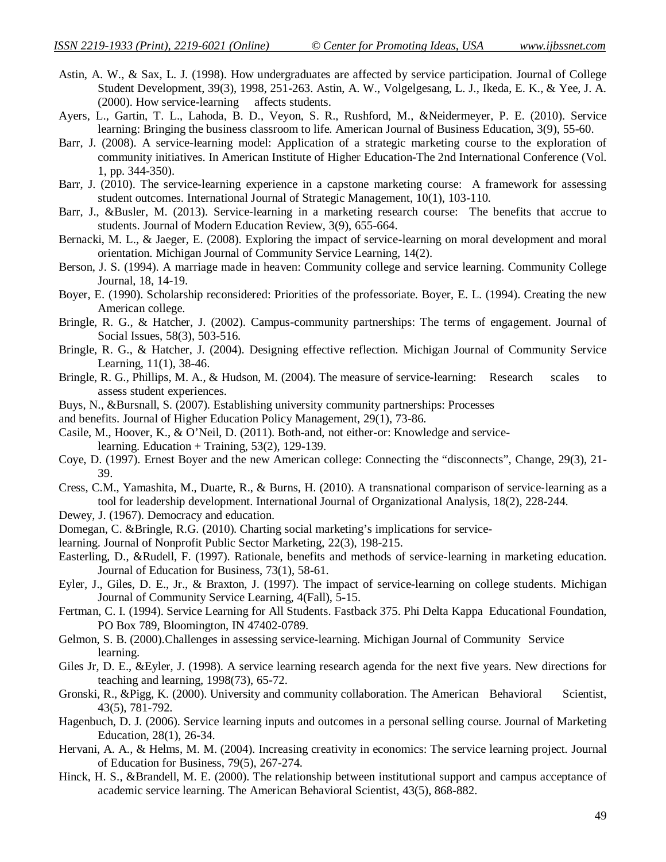- Astin, A. W., & Sax, L. J. (1998). How undergraduates are affected by service participation. Journal of College Student Development, 39(3), 1998, 251-263. Astin, A. W., Volgelgesang, L. J., Ikeda, E. K., & Yee, J. A. (2000). How service-learning affects students.
- Ayers, L., Gartin, T. L., Lahoda, B. D., Veyon, S. R., Rushford, M., &Neidermeyer, P. E. (2010). Service learning: Bringing the business classroom to life. American Journal of Business Education, 3(9), 55-60.
- Barr, J. (2008). A service-learning model: Application of a strategic marketing course to the exploration of community initiatives. In American Institute of Higher Education-The 2nd International Conference (Vol. 1, pp. 344-350).
- Barr, J. (2010). The service-learning experience in a capstone marketing course: A framework for assessing student outcomes. International Journal of Strategic Management, 10(1), 103-110.
- Barr, J., &Busler, M. (2013). Service-learning in a marketing research course: The benefits that accrue to students. Journal of Modern Education Review, 3(9), 655-664.
- Bernacki, M. L., & Jaeger, E. (2008). Exploring the impact of service-learning on moral development and moral orientation. Michigan Journal of Community Service Learning, 14(2).
- Berson, J. S. (1994). A marriage made in heaven: Community college and service learning. Community College Journal, 18, 14-19.
- Boyer, E. (1990). Scholarship reconsidered: Priorities of the professoriate. Boyer, E. L. (1994). Creating the new American college.
- Bringle, R. G., & Hatcher, J. (2002). Campus-community partnerships: The terms of engagement. Journal of Social Issues, 58(3), 503-516.
- Bringle, R. G., & Hatcher, J. (2004). Designing effective reflection. Michigan Journal of Community Service Learning, 11(1), 38-46.
- Bringle, R. G., Phillips, M. A., & Hudson, M. (2004). The measure of service-learning: Research scales to assess student experiences.
- Buys, N., &Bursnall, S. (2007). Establishing university community partnerships: Processes
- and benefits. Journal of Higher Education Policy Management, 29(1), 73-86.
- Casile, M., Hoover, K., & O'Neil, D. (2011). Both-and, not either-or: Knowledge and servicelearning. Education + Training, 53(2), 129-139.
- Coye, D. (1997). Ernest Boyer and the new American college: Connecting the "disconnects", Change, 29(3), 21- 39.
- Cress, C.M., Yamashita, M., Duarte, R., & Burns, H. (2010). A transnational comparison of service‐learning as a tool for leadership development. International Journal of Organizational Analysis, 18(2), 228-244.
- Dewey, J. (1967). Democracy and education.
- Domegan, C. &Bringle, R.G. (2010). Charting social marketing's implications for service-
- learning. Journal of Nonprofit Public Sector Marketing, 22(3), 198-215.
- Easterling, D., &Rudell, F. (1997). Rationale, benefits and methods of service-learning in marketing education. Journal of Education for Business, 73(1), 58-61.
- Eyler, J., Giles, D. E., Jr., & Braxton, J. (1997). The impact of service-learning on college students. Michigan Journal of Community Service Learning, 4(Fall), 5-15.
- Fertman, C. I. (1994). Service Learning for All Students. Fastback 375. Phi Delta Kappa Educational Foundation, PO Box 789, Bloomington, IN 47402-0789.
- Gelmon, S. B. (2000).Challenges in assessing service-learning. Michigan Journal of Community Service learning.
- Giles Jr, D. E., &Eyler, J. (1998). A service learning research agenda for the next five years. New directions for teaching and learning, 1998(73), 65-72.
- Gronski, R., &Pigg, K. (2000). University and community collaboration. The American Behavioral Scientist, 43(5), 781-792.
- Hagenbuch, D. J. (2006). Service learning inputs and outcomes in a personal selling course. Journal of Marketing Education, 28(1), 26-34.
- Hervani, A. A., & Helms, M. M. (2004). Increasing creativity in economics: The service learning project. Journal of Education for Business, 79(5), 267-274.
- Hinck, H. S., &Brandell, M. E. (2000). The relationship between institutional support and campus acceptance of academic service learning. The American Behavioral Scientist, 43(5), 868-882.